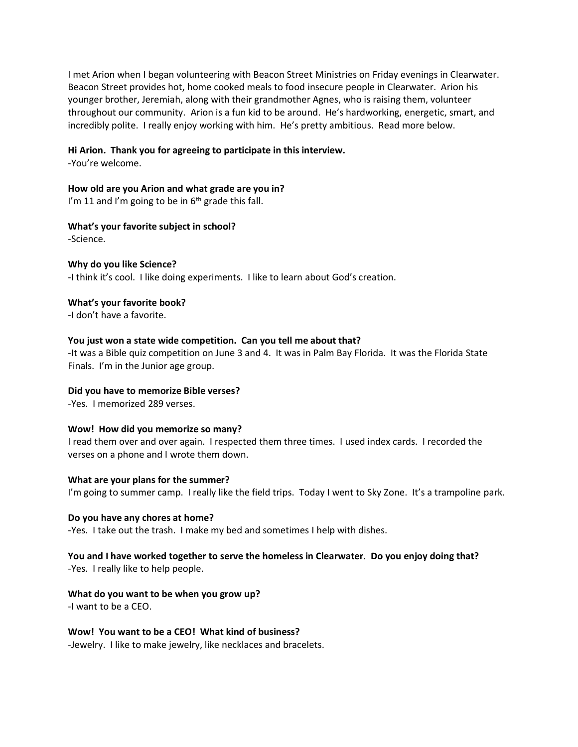I met Arion when I began volunteering with Beacon Street Ministries on Friday evenings in Clearwater. Beacon Street provides hot, home cooked meals to food insecure people in Clearwater. Arion his younger brother, Jeremiah, along with their grandmother Agnes, who is raising them, volunteer throughout our community. Arion is a fun kid to be around. He's hardworking, energetic, smart, and incredibly polite. I really enjoy working with him. He's pretty ambitious. Read more below.

## **Hi Arion. Thank you for agreeing to participate in this interview.**

-You're welcome.

**How old are you Arion and what grade are you in?** I'm 11 and I'm going to be in  $6<sup>th</sup>$  grade this fall.

# **What's your favorite subject in school?**

-Science.

# **Why do you like Science?**

-I think it's cool. I like doing experiments. I like to learn about God's creation.

## **What's your favorite book?**

-I don't have a favorite.

# **You just won a state wide competition. Can you tell me about that?**

-It was a Bible quiz competition on June 3 and 4. It was in Palm Bay Florida. It was the Florida State Finals. I'm in the Junior age group.

# **Did you have to memorize Bible verses?**

-Yes. I memorized 289 verses.

# **Wow! How did you memorize so many?**

I read them over and over again. I respected them three times. I used index cards. I recorded the verses on a phone and I wrote them down.

#### **What are your plans for the summer?**

I'm going to summer camp. I really like the field trips. Today I went to Sky Zone. It's a trampoline park.

#### **Do you have any chores at home?**

-Yes. I take out the trash. I make my bed and sometimes I help with dishes.

## **You and I have worked together to serve the homeless in Clearwater. Do you enjoy doing that?** -Yes. I really like to help people.

# **What do you want to be when you grow up?**

-I want to be a CEO.

# **Wow! You want to be a CEO! What kind of business?**

-Jewelry. I like to make jewelry, like necklaces and bracelets.